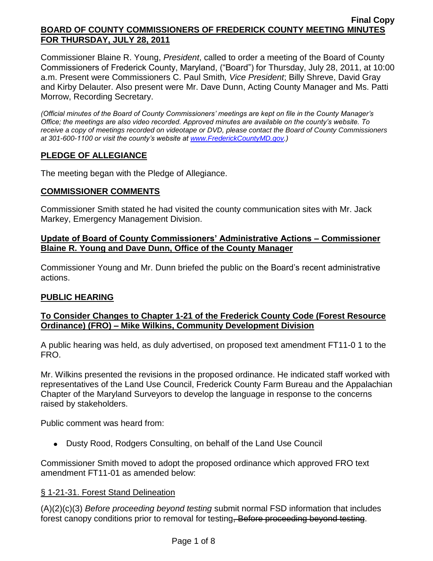Commissioner Blaine R. Young, *President*, called to order a meeting of the Board of County Commissioners of Frederick County, Maryland, ("Board") for Thursday, July 28, 2011, at 10:00 a.m. Present were Commissioners C. Paul Smith*, Vice President*; Billy Shreve, David Gray and Kirby Delauter. Also present were Mr. Dave Dunn, Acting County Manager and Ms. Patti Morrow, Recording Secretary.

*(Official minutes of the Board of County Commissioners' meetings are kept on file in the County Manager's Office; the meetings are also video recorded. Approved minutes are available on the county's website. To receive a copy of meetings recorded on videotape or DVD, please contact the Board of County Commissioners at 301-600-1100 or visit the county's website at [www.FrederickCountyMD.gov.](http://www.frederickcountymd.gov/))*

## **PLEDGE OF ALLEGIANCE**

The meeting began with the Pledge of Allegiance.

### **COMMISSIONER COMMENTS**

Commissioner Smith stated he had visited the county communication sites with Mr. Jack Markey, Emergency Management Division.

## **Update of Board of County Commissioners' Administrative Actions – Commissioner Blaine R. Young and Dave Dunn, Office of the County Manager**

Commissioner Young and Mr. Dunn briefed the public on the Board's recent administrative actions.

### **PUBLIC HEARING**

### **To Consider Changes to Chapter 1-21 of the Frederick County Code (Forest Resource Ordinance) (FRO) – Mike Wilkins, Community Development Division**

A public hearing was held, as duly advertised, on proposed text amendment FT11-0 1 to the FRO.

Mr. Wilkins presented the revisions in the proposed ordinance. He indicated staff worked with representatives of the Land Use Council, Frederick County Farm Bureau and the Appalachian Chapter of the Maryland Surveyors to develop the language in response to the concerns raised by stakeholders.

Public comment was heard from:

Dusty Rood, Rodgers Consulting, on behalf of the Land Use Council

Commissioner Smith moved to adopt the proposed ordinance which approved FRO text amendment FT11-01 as amended below:

### § 1-21-31. Forest Stand Delineation

(A)(2)(c)(3) *Before proceeding beyond testing* submit normal FSD information that includes forest canopy conditions prior to removal for testing, Before proceeding beyond testing.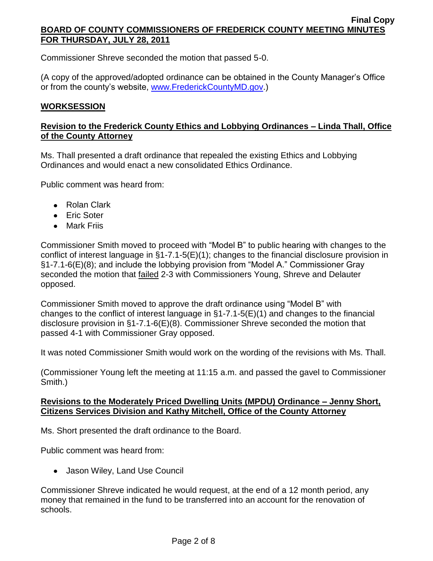Commissioner Shreve seconded the motion that passed 5-0.

(A copy of the approved/adopted ordinance can be obtained in the County Manager's Office or from the county's website, [www.FrederickCountyMD.gov.](http://www.frederickcountymd.gov/))

### **WORKSESSION**

## **Revision to the Frederick County Ethics and Lobbying Ordinances – Linda Thall, Office of the County Attorney**

Ms. Thall presented a draft ordinance that repealed the existing Ethics and Lobbying Ordinances and would enact a new consolidated Ethics Ordinance.

Public comment was heard from:

- Rolan Clark
- Eric Soter
- Mark Friis

Commissioner Smith moved to proceed with "Model B" to public hearing with changes to the conflict of interest language in §1-7.1-5(E)(1); changes to the financial disclosure provision in §1-7.1-6(E)(8); and include the lobbying provision from "Model A." Commissioner Gray seconded the motion that failed 2-3 with Commissioners Young, Shreve and Delauter opposed.

Commissioner Smith moved to approve the draft ordinance using "Model B" with changes to the conflict of interest language in §1-7.1-5(E)(1) and changes to the financial disclosure provision in §1-7.1-6(E)(8). Commissioner Shreve seconded the motion that passed 4-1 with Commissioner Gray opposed.

It was noted Commissioner Smith would work on the wording of the revisions with Ms. Thall.

(Commissioner Young left the meeting at 11:15 a.m. and passed the gavel to Commissioner Smith.)

### **Revisions to the Moderately Priced Dwelling Units (MPDU) Ordinance – Jenny Short, Citizens Services Division and Kathy Mitchell, Office of the County Attorney**

Ms. Short presented the draft ordinance to the Board.

Public comment was heard from:

Jason Wiley, Land Use Council

Commissioner Shreve indicated he would request, at the end of a 12 month period, any money that remained in the fund to be transferred into an account for the renovation of schools.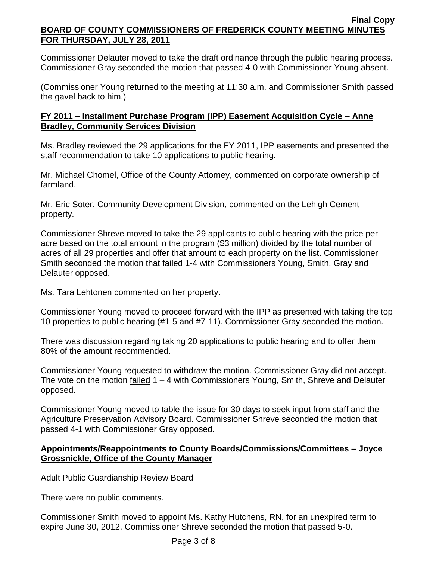Commissioner Delauter moved to take the draft ordinance through the public hearing process. Commissioner Gray seconded the motion that passed 4-0 with Commissioner Young absent.

(Commissioner Young returned to the meeting at 11:30 a.m. and Commissioner Smith passed the gavel back to him.)

## **FY 2011 – Installment Purchase Program (IPP) Easement Acquisition Cycle – Anne Bradley, Community Services Division**

Ms. Bradley reviewed the 29 applications for the FY 2011, IPP easements and presented the staff recommendation to take 10 applications to public hearing.

Mr. Michael Chomel, Office of the County Attorney, commented on corporate ownership of farmland.

Mr. Eric Soter, Community Development Division, commented on the Lehigh Cement property.

Commissioner Shreve moved to take the 29 applicants to public hearing with the price per acre based on the total amount in the program (\$3 million) divided by the total number of acres of all 29 properties and offer that amount to each property on the list. Commissioner Smith seconded the motion that failed 1-4 with Commissioners Young, Smith, Gray and Delauter opposed.

Ms. Tara Lehtonen commented on her property.

Commissioner Young moved to proceed forward with the IPP as presented with taking the top 10 properties to public hearing (#1-5 and #7-11). Commissioner Gray seconded the motion.

There was discussion regarding taking 20 applications to public hearing and to offer them 80% of the amount recommended.

Commissioner Young requested to withdraw the motion. Commissioner Gray did not accept. The vote on the motion failed 1 – 4 with Commissioners Young, Smith, Shreve and Delauter opposed.

Commissioner Young moved to table the issue for 30 days to seek input from staff and the Agriculture Preservation Advisory Board. Commissioner Shreve seconded the motion that passed 4-1 with Commissioner Gray opposed.

## **Appointments/Reappointments to County Boards/Commissions/Committees – Joyce Grossnickle, Office of the County Manager**

Adult Public Guardianship Review Board

There were no public comments.

Commissioner Smith moved to appoint Ms. Kathy Hutchens, RN, for an unexpired term to expire June 30, 2012. Commissioner Shreve seconded the motion that passed 5-0.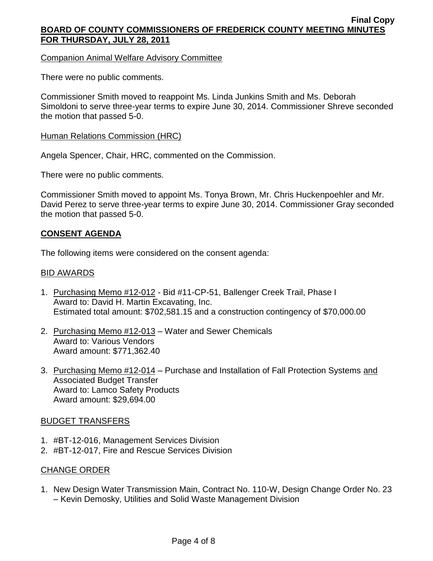Companion Animal Welfare Advisory Committee

There were no public comments.

Commissioner Smith moved to reappoint Ms. Linda Junkins Smith and Ms. Deborah Simoldoni to serve three-year terms to expire June 30, 2014. Commissioner Shreve seconded the motion that passed 5-0.

#### **Human Relations Commission (HRC)**

Angela Spencer, Chair, HRC, commented on the Commission.

There were no public comments.

Commissioner Smith moved to appoint Ms. Tonya Brown, Mr. Chris Huckenpoehler and Mr. David Perez to serve three-year terms to expire June 30, 2014. Commissioner Gray seconded the motion that passed 5-0.

### **CONSENT AGENDA**

The following items were considered on the consent agenda:

#### BID AWARDS

- 1. Purchasing Memo #12-012 Bid #11-CP-51, Ballenger Creek Trail, Phase I Award to: David H. Martin Excavating, Inc. Estimated total amount: \$702,581.15 and a construction contingency of \$70,000.00
- 2. Purchasing Memo #12-013 Water and Sewer Chemicals Award to: Various Vendors Award amount: \$771,362.40
- 3. Purchasing Memo #12-014 Purchase and Installation of Fall Protection Systems and Associated Budget Transfer Award to: Lamco Safety Products Award amount: \$29,694.00

#### BUDGET TRANSFERS

- 1. #BT-12-016, Management Services Division
- 2. #BT-12-017, Fire and Rescue Services Division

#### CHANGE ORDER

1. New Design Water Transmission Main, Contract No. 110-W, Design Change Order No. 23 – Kevin Demosky, Utilities and Solid Waste Management Division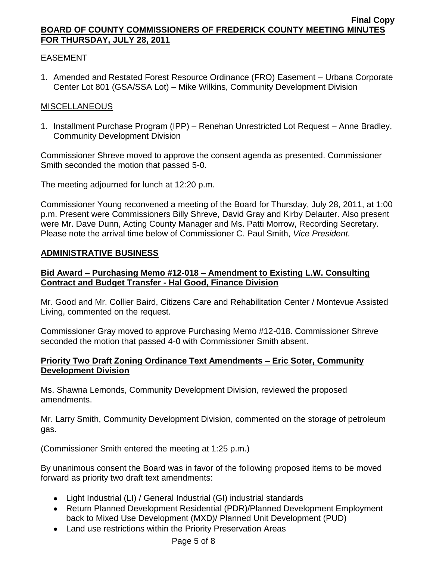## EASEMENT

1. Amended and Restated Forest Resource Ordinance (FRO) Easement – Urbana Corporate Center Lot 801 (GSA/SSA Lot) – Mike Wilkins, Community Development Division

### MISCELLANEOUS

1. Installment Purchase Program (IPP) – Renehan Unrestricted Lot Request – Anne Bradley, Community Development Division

Commissioner Shreve moved to approve the consent agenda as presented. Commissioner Smith seconded the motion that passed 5-0.

The meeting adjourned for lunch at 12:20 p.m.

Commissioner Young reconvened a meeting of the Board for Thursday, July 28, 2011, at 1:00 p.m. Present were Commissioners Billy Shreve, David Gray and Kirby Delauter. Also present were Mr. Dave Dunn, Acting County Manager and Ms. Patti Morrow, Recording Secretary. Please note the arrival time below of Commissioner C. Paul Smith, *Vice President.*

### **ADMINISTRATIVE BUSINESS**

### **Bid Award – Purchasing Memo #12-018 – Amendment to Existing L.W. Consulting Contract and Budget Transfer - Hal Good, Finance Division**

Mr. Good and Mr. Collier Baird, Citizens Care and Rehabilitation Center / Montevue Assisted Living, commented on the request.

Commissioner Gray moved to approve Purchasing Memo #12-018. Commissioner Shreve seconded the motion that passed 4-0 with Commissioner Smith absent.

## **Priority Two Draft Zoning Ordinance Text Amendments – Eric Soter, Community Development Division**

Ms. Shawna Lemonds, Community Development Division, reviewed the proposed amendments.

Mr. Larry Smith, Community Development Division, commented on the storage of petroleum gas.

(Commissioner Smith entered the meeting at 1:25 p.m.)

By unanimous consent the Board was in favor of the following proposed items to be moved forward as priority two draft text amendments:

- Light Industrial (LI) / General Industrial (GI) industrial standards
- Return Planned Development Residential (PDR)/Planned Development Employment back to Mixed Use Development (MXD)/ Planned Unit Development (PUD)
- Land use restrictions within the Priority Preservation Areas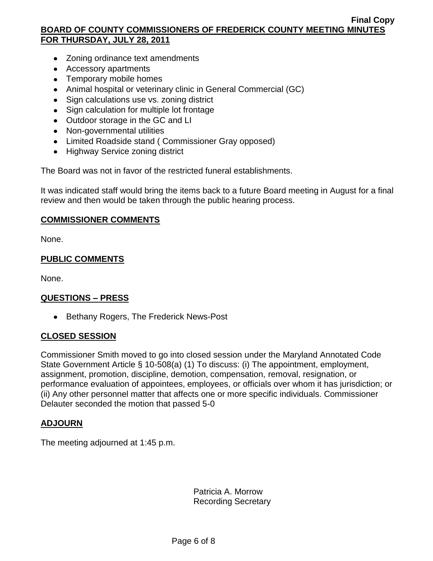- Zoning ordinance text amendments
- Accessory apartments
- Temporary mobile homes
- Animal hospital or veterinary clinic in General Commercial (GC)
- Sign calculations use vs. zoning district
- Sign calculation for multiple lot frontage
- Outdoor storage in the GC and LI
- Non-governmental utilities
- Limited Roadside stand ( Commissioner Gray opposed)
- Highway Service zoning district

The Board was not in favor of the restricted funeral establishments.

It was indicated staff would bring the items back to a future Board meeting in August for a final review and then would be taken through the public hearing process.

### **COMMISSIONER COMMENTS**

None.

### **PUBLIC COMMENTS**

None.

### **QUESTIONS – PRESS**

• Bethany Rogers, The Frederick News-Post

### **CLOSED SESSION**

Commissioner Smith moved to go into closed session under the Maryland Annotated Code State Government Article § 10-508(a) (1) To discuss: (i) The appointment, employment, assignment, promotion, discipline, demotion, compensation, removal, resignation, or performance evaluation of appointees, employees, or officials over whom it has jurisdiction; or (ii) Any other personnel matter that affects one or more specific individuals. Commissioner Delauter seconded the motion that passed 5-0

### **ADJOURN**

The meeting adjourned at 1:45 p.m.

Patricia A. Morrow Recording Secretary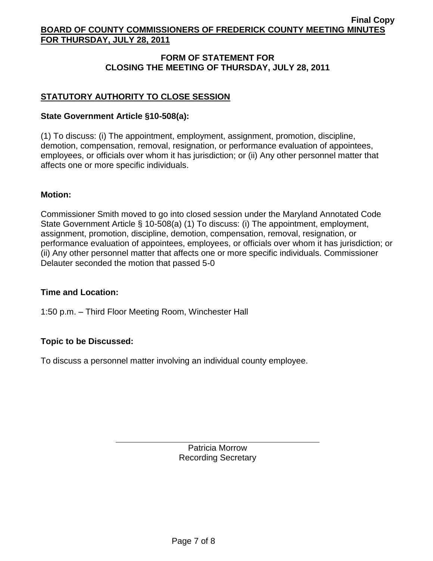## **FORM OF STATEMENT FOR CLOSING THE MEETING OF THURSDAY, JULY 28, 2011**

## **STATUTORY AUTHORITY TO CLOSE SESSION**

### **State Government Article §10-508(a):**

(1) To discuss: (i) The appointment, employment, assignment, promotion, discipline, demotion, compensation, removal, resignation, or performance evaluation of appointees, employees, or officials over whom it has jurisdiction; or (ii) Any other personnel matter that affects one or more specific individuals.

#### **Motion:**

Commissioner Smith moved to go into closed session under the Maryland Annotated Code State Government Article § 10-508(a) (1) To discuss: (i) The appointment, employment, assignment, promotion, discipline, demotion, compensation, removal, resignation, or performance evaluation of appointees, employees, or officials over whom it has jurisdiction; or (ii) Any other personnel matter that affects one or more specific individuals. Commissioner Delauter seconded the motion that passed 5-0

#### **Time and Location:**

1:50 p.m. – Third Floor Meeting Room, Winchester Hall

### **Topic to be Discussed:**

To discuss a personnel matter involving an individual county employee.

Patricia Morrow Recording Secretary